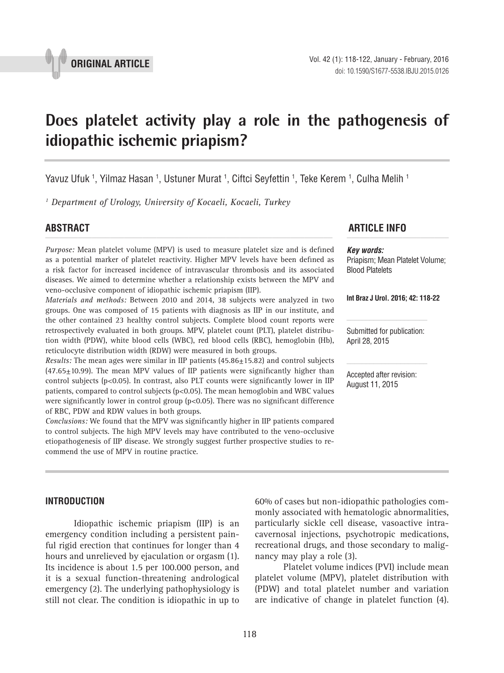

# **Does platelet activity play a role in the pathogenesis of idiopathic ischemic priapism? \_\_\_\_\_\_\_\_\_\_\_\_\_\_\_\_\_\_\_\_\_\_\_\_\_\_\_\_\_\_\_\_\_\_\_\_\_\_\_\_\_\_\_\_\_\_\_**

Yavuz Ufuk <sup>1</sup>, Yilmaz Hasan <sup>1</sup>, Ustuner Murat <sup>1</sup>, Ciftci Seyfettin <sup>1</sup>, Teke Kerem <sup>1</sup>, Culha Melih <sup>1</sup>

*1 Department of Urology, University of Kocaeli, Kocaeli, Turkey*

*Purpose:* Mean platelet volume (MPV) is used to measure platelet size and is defined as a potential marker of platelet reactivity. Higher MPV levels have been defined as a risk factor for increased incidence of intravascular thrombosis and its associated diseases. We aimed to determine whether a relationship exists between the MPV and veno-occlusive component of idiopathic ischemic priapism (IIP).

*Materials and methods:* Between 2010 and 2014, 38 subjects were analyzed in two groups. One was composed of 15 patients with diagnosis as IIP in our institute, and the other contained 23 healthy control subjects. Complete blood count reports were retrospectively evaluated in both groups. MPV, platelet count (PLT), platelet distribution width (PDW), white blood cells (WBC), red blood cells (RBC), hemoglobin (Hb), reticulocyte distribution width (RDW) were measured in both groups.

*Results:* The mean ages were similar in IIP patients (45.86±15.82) and control subjects (47.65 $\pm$ 10.99). The mean MPV values of IIP patients were significantly higher than control subjects ( $p$ <0.05). In contrast, also PLT counts were significantly lower in IIP patients, compared to control subjects (p<0.05). The mean hemoglobin and WBC values were significantly lower in control group (p<0.05). There was no significant difference of RBC, PDW and RDW values in both groups.

*Conclusions:* We found that the MPV was significantly higher in IIP patients compared to control subjects. The high MPV levels may have contributed to the veno-occlusive etiopathogenesis of IIP disease. We strongly suggest further prospective studies to recommend the use of MPV in routine practice.

# **ABSTRACT ARTICLE INFO** *\_\_\_\_\_\_\_\_\_\_\_\_\_\_\_\_\_\_\_\_\_\_\_\_\_\_\_\_\_\_\_\_\_\_\_\_\_\_\_\_\_\_\_\_\_\_\_\_\_\_\_\_\_\_\_\_\_\_\_\_\_\_ \_\_\_\_\_\_\_\_\_\_\_\_\_\_\_\_\_\_\_\_\_\_*

*Key words:* Priapism; Mean Platelet Volume; Blood Platelets

**Int Braz J Urol. 2016; 42: 118-22**

Submitted for publication: April 28, 2015

Accepted after revision: August 11, 2015

# **INTRODUCTION**

Idiopathic ischemic priapism (IIP) is an emergency condition including a persistent painful rigid erection that continues for longer than 4 hours and unrelieved by ejaculation or orgasm (1). Its incidence is about 1.5 per 100.000 person, and it is a sexual function-threatening andrological emergency (2). The underlying pathophysiology is still not clear. The condition is idiopathic in up to 60% of cases but non-idiopathic pathologies commonly associated with hematologic abnormalities, particularly sickle cell disease, vasoactive intracavernosal injections, psychotropic medications, recreational drugs, and those secondary to malignancy may play a role (3).

Platelet volume indices (PVI) include mean platelet volume (MPV), platelet distribution with (PDW) and total platelet number and variation are indicative of change in platelet function (4).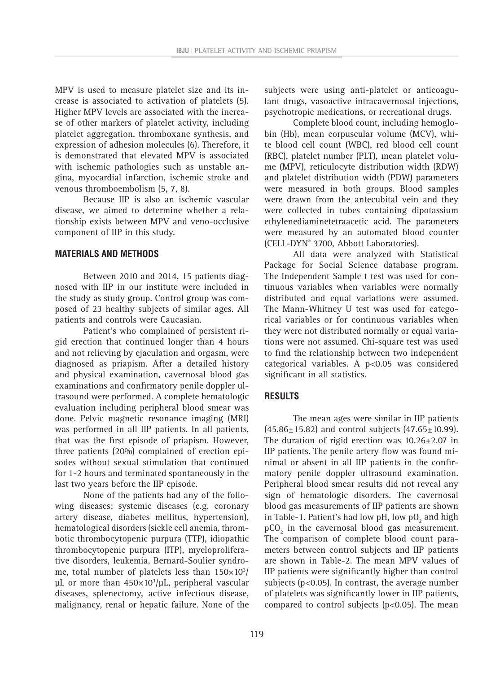MPV is used to measure platelet size and its increase is associated to activation of platelets (5). Higher MPV levels are associated with the increase of other markers of platelet activity, including platelet aggregation, thromboxane synthesis, and expression of adhesion molecules (6). Therefore, it is demonstrated that elevated MPV is associated with ischemic pathologies such as unstable angina, myocardial infarction, ischemic stroke and venous thromboembolism (5, 7, 8).

Because IIP is also an ischemic vascular disease, we aimed to determine whether a relationship exists between MPV and veno-occlusive component of IIP in this study.

#### **MATERIALS AND METHODS**

Between 2010 and 2014, 15 patients diagnosed with IIP in our institute were included in the study as study group. Control group was composed of 23 healthy subjects of similar ages. All patients and controls were Caucasian.

Patient's who complained of persistent rigid erection that continued longer than 4 hours and not relieving by ejaculation and orgasm, were diagnosed as priapism. After a detailed history and physical examination, cavernosal blood gas examinations and confirmatory penile doppler ultrasound were performed. A complete hematologic evaluation including peripheral blood smear was done. Pelvic magnetic resonance imaging (MRI) was performed in all IIP patients. In all patients, that was the first episode of priapism. However, three patients (20%) complained of erection episodes without sexual stimulation that continued for 1-2 hours and terminated spontaneously in the last two years before the IIP episode.

None of the patients had any of the following diseases: systemic diseases (e.g. coronary artery disease, diabetes mellitus, hypertension), hematological disorders (sickle cell anemia, thrombotic thrombocytopenic purpura (TTP), idiopathic thrombocytopenic purpura (ITP), myeloproliferative disorders, leukemia, Bernard-Soulier syndrome, total number of platelets less than  $150\times10^{3}/$ μL or more than 450×103 /μL, peripheral vascular diseases, splenectomy, active infectious disease, malignancy, renal or hepatic failure. None of the

subjects were using anti-platelet or anticoagulant drugs, vasoactive intracavernosal injections, psychotropic medications, or recreational drugs.

Complete blood count, including hemoglobin (Hb), mean corpuscular volume (MCV), white blood cell count (WBC), red blood cell count (RBC), platelet number (PLT), mean platelet volume (MPV), reticulocyte distribution width (RDW) and platelet distribution width (PDW) parameters were measured in both groups. Blood samples were drawn from the antecubital vein and they were collected in tubes containing dipotassium ethylenediaminetetraacetic acid. The parameters were measured by an automated blood counter (CELL-DYN® 3700, Abbott Laboratories).

All data were analyzed with Statistical Package for Social Science database program. The Independent Sample t test was used for continuous variables when variables were normally distributed and equal variations were assumed. The Mann-Whitney U test was used for categorical variables or for continuous variables when they were not distributed normally or equal variations were not assumed. Chi-square test was used to find the relationship between two independent categorical variables. A p<0.05 was considered significant in all statistics.

### **RESULTS**

The mean ages were similar in IIP patients  $(45.86 \pm 15.82)$  and control subjects  $(47.65 \pm 10.99)$ . The duration of rigid erection was  $10.26 \pm 2.07$  in IIP patients. The penile artery flow was found minimal or absent in all IIP patients in the confirmatory penile doppler ultrasound examination. Peripheral blood smear results did not reveal any sign of hematologic disorders. The cavernosal blood gas measurements of IIP patients are shown in Table-1. Patient's had low pH, low  $\textrm{p0}_{\textrm{2}}$  and high  $pCO<sub>2</sub>$  in the cavernosal blood gas measurement. The comparison of complete blood count parameters between control subjects and IIP patients are shown in Table-2. The mean MPV values of IIP patients were significantly higher than control subjects (p<0.05). In contrast, the average number of platelets was significantly lower in IIP patients, compared to control subjects (p<0.05). The mean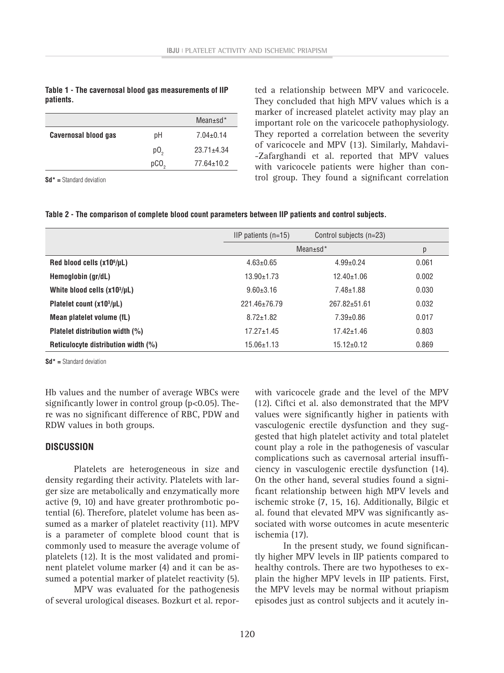**Table 1 - The cavernosal blood gas measurements of IIP patients.**

|                             |                  | Mean $\pm$ sd $*$ |
|-----------------------------|------------------|-------------------|
| <b>Cavernosal blood gas</b> | рH               | $7.04 \pm 0.14$   |
|                             | p0               | $23.71 \pm 4.34$  |
|                             | pCO <sub>2</sub> | $77.64 \pm 10.2$  |

ted a relationship between MPV and varicocele. They concluded that high MPV values which is a marker of increased platelet activity may play an important role on the varicocele pathophysiology. They reported a correlation between the severity of varicocele and MPV (13). Similarly, Mahdavi- -Zafarghandi et al. reported that MPV values with varicocele patients were higher than control group. They found a significant correlation

**Sd\* =** Standard deviation

**Table 2 - The comparison of complete blood count parameters between IIP patients and control subjects.**

|                                        | IIP patients $(n=15)$ | Control subjects (n=23) |       |
|----------------------------------------|-----------------------|-------------------------|-------|
|                                        | Mean $\pm$ sd $*$     |                         | р     |
| Red blood cells (x10 <sup>6</sup> /µL) | $4.63 \pm 0.65$       | $4.99 \pm 0.24$         | 0.061 |
| Hemoglobin (gr/dL)                     | $13.90 \pm 1.73$      | $12.40 \pm 1.06$        | 0.002 |
| White blood cells $(x10^3/\mu L)$      | $9.60 \pm 3.16$       | $7.48 \pm 1.88$         | 0.030 |
| Platelet count $(x10^3/\mu L)$         | $221.46 \pm 76.79$    | $267.82 \pm 51.61$      | 0.032 |
| Mean platelet volume (fL)              | $8.72 \pm 1.82$       | $7.39 \pm 0.86$         | 0.017 |
| Platelet distribution width (%)        | $17.27 \pm 1.45$      | $17.42 \pm 1.46$        | 0.803 |
| Reticulocyte distribution width $(\%)$ | $15.06 \pm 1.13$      | $15.12 \pm 0.12$        | 0.869 |

**Sd\* =** Standard deviation

Hb values and the number of average WBCs were significantly lower in control group ( $p<0.05$ ). There was no significant difference of RBC, PDW and RDW values in both groups.

#### **DISCUSSION**

Platelets are heterogeneous in size and density regarding their activity. Platelets with larger size are metabolically and enzymatically more active (9, 10) and have greater prothrombotic potential (6). Therefore, platelet volume has been assumed as a marker of platelet reactivity (11). MPV is a parameter of complete blood count that is commonly used to measure the average volume of platelets (12). It is the most validated and prominent platelet volume marker (4) and it can be assumed a potential marker of platelet reactivity (5).

MPV was evaluated for the pathogenesis of several urological diseases. Bozkurt et al. reporwith varicocele grade and the level of the MPV (12). Ciftci et al. also demonstrated that the MPV values were significantly higher in patients with vasculogenic erectile dysfunction and they suggested that high platelet activity and total platelet count play a role in the pathogenesis of vascular complications such as cavernosal arterial insufficiency in vasculogenic erectile dysfunction (14). On the other hand, several studies found a significant relationship between high MPV levels and ischemic stroke (7, 15, 16). Additionally, Bilgic et al. found that elevated MPV was significantly associated with worse outcomes in acute mesenteric ischemia (17).

In the present study, we found significantly higher MPV levels in IIP patients compared to healthy controls. There are two hypotheses to explain the higher MPV levels in IIP patients. First, the MPV levels may be normal without priapism episodes just as control subjects and it acutely in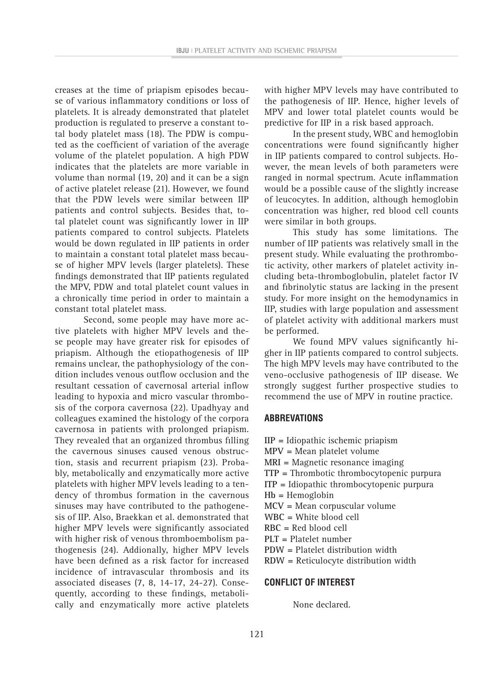creases at the time of priapism episodes because of various inflammatory conditions or loss of platelets. It is already demonstrated that platelet production is regulated to preserve a constant total body platelet mass (18). The PDW is computed as the coefficient of variation of the average volume of the platelet population. A high PDW indicates that the platelets are more variable in volume than normal (19, 20) and it can be a sign of active platelet release (21). However, we found that the PDW levels were similar between IIP patients and control subjects. Besides that, total platelet count was significantly lower in IIP patients compared to control subjects. Platelets would be down regulated in IIP patients in order to maintain a constant total platelet mass because of higher MPV levels (larger platelets). These findings demonstrated that IIP patients regulated the MPV, PDW and total platelet count values in a chronically time period in order to maintain a constant total platelet mass.

Second, some people may have more active platelets with higher MPV levels and these people may have greater risk for episodes of priapism. Although the etiopathogenesis of IIP remains unclear, the pathophysiology of the condition includes venous outflow occlusion and the resultant cessation of cavernosal arterial inflow leading to hypoxia and micro vascular thrombosis of the corpora cavernosa (22). Upadhyay and colleagues examined the histology of the corpora cavernosa in patients with prolonged priapism. They revealed that an organized thrombus filling the cavernous sinuses caused venous obstruction, stasis and recurrent priapism (23). Probably, metabolically and enzymatically more active platelets with higher MPV levels leading to a tendency of thrombus formation in the cavernous sinuses may have contributed to the pathogenesis of IIP. Also, Braekkan et al. demonstrated that higher MPV levels were significantly associated with higher risk of venous thromboembolism pathogenesis (24). Addionally, higher MPV levels have been defined as a risk factor for increased incidence of intravascular thrombosis and its associated diseases (7, 8, 14-17, 24-27). Consequently, according to these findings, metabolically and enzymatically more active platelets with higher MPV levels may have contributed to the pathogenesis of IIP. Hence, higher levels of MPV and lower total platelet counts would be predictive for IIP in a risk based approach.

In the present study, WBC and hemoglobin concentrations were found significantly higher in IIP patients compared to control subjects. However, the mean levels of both parameters were ranged in normal spectrum. Acute inflammation would be a possible cause of the slightly increase of leucocytes. In addition, although hemoglobin concentration was higher, red blood cell counts were similar in both groups.

This study has some limitations. The number of IIP patients was relatively small in the present study. While evaluating the prothrombotic activity, other markers of platelet activity including beta-thromboglobulin, platelet factor IV and fibrinolytic status are lacking in the present study. For more insight on the hemodynamics in IIP, studies with large population and assessment of platelet activity with additional markers must be performed.

We found MPV values significantly higher in IIP patients compared to control subjects. The high MPV levels may have contributed to the veno-occlusive pathogenesis of IIP disease. We strongly suggest further prospective studies to recommend the use of MPV in routine practice.

## **ABBREVATIONS**

- **IIP =** Idiopathic ischemic priapism
- **MPV =** Mean platelet volume
- **MRI =** Magnetic resonance imaging
- **TTP =** Thrombotic thrombocytopenic purpura
- **ITP =** Idiopathic thrombocytopenic purpura
- **Hb =** Hemoglobin
- **MCV =** Mean corpuscular volume
- **WBC =** White blood cell
- **RBC =** Red blood cell
- **PLT =** Platelet number
- **PDW =** Platelet distribution width
- **RDW =** Reticulocyte distribution width

## **CONFLICT OF INTEREST**

None declared.